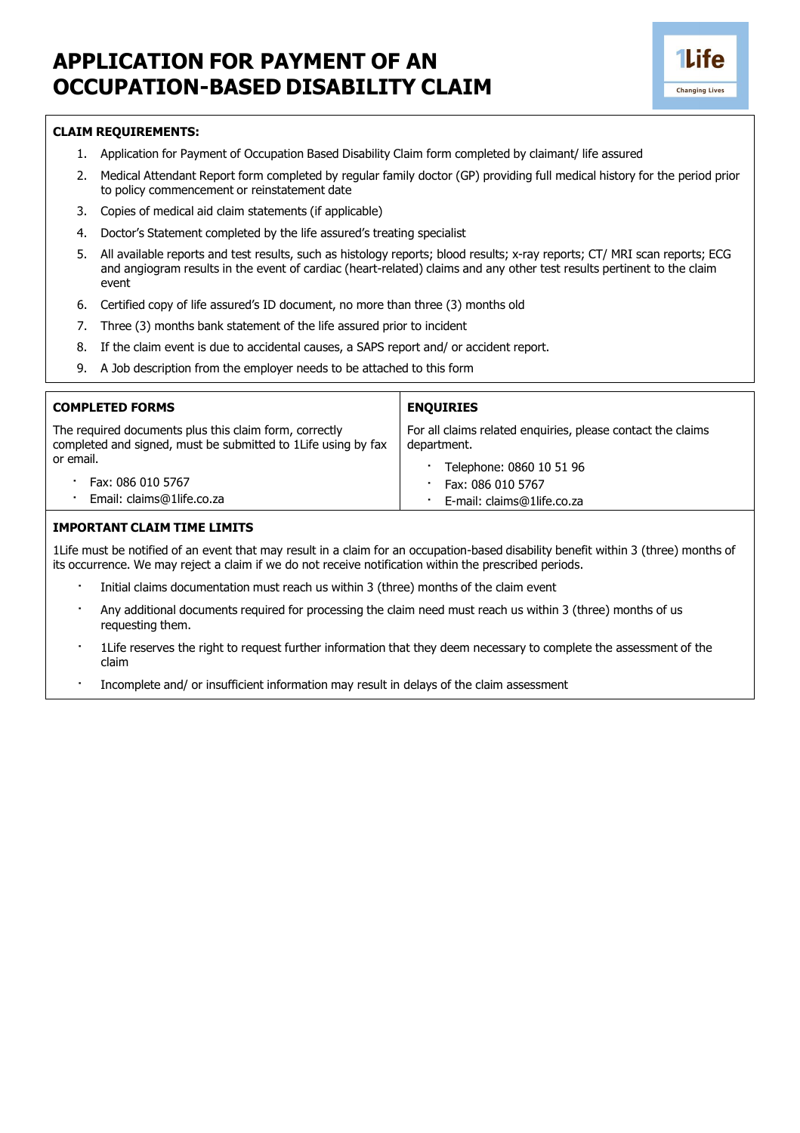## **APPLICATION FOR PAYMENT OF AN OCCUPATION-BASED DISABILITY CLAIM**



## **CLAIM REQUIREMENTS:**

- 1. Application for Payment of Occupation Based Disability Claim form completed by claimant/ life assured
- 2. Medical Attendant Report form completed by regular family doctor (GP) providing full medical history for the period prior to policy commencement or reinstatement date
- 3. Copies of medical aid claim statements (if applicable)
- 4. Doctor's Statement completed by the life assured's treating specialist
- 5. All available reports and test results, such as histology reports; blood results; x-ray reports; CT/ MRI scan reports; ECG and angiogram results in the event of cardiac (heart-related) claims and any other test results pertinent to the claim event
- 6. Certified copy of life assured's ID document, no more than three (3) months old
- 7. Three (3) months bank statement of the life assured prior to incident
- 8. If the claim event is due to accidental causes, a SAPS report and/ or accident report.
- 9. A Job description from the employer needs to be attached to this form

| <b>COMPLETED FORMS</b>                                                                                                  | <b>ENQUIRIES</b>                                                           |  |  |
|-------------------------------------------------------------------------------------------------------------------------|----------------------------------------------------------------------------|--|--|
| The required documents plus this claim form, correctly<br>completed and signed, must be submitted to 1Life using by fax | For all claims related enquiries, please contact the claims<br>department. |  |  |
| or email.                                                                                                               | Telephone: 0860 10 51 96                                                   |  |  |
| Fax: 086 010 5767                                                                                                       | Fax: 086 010 5767                                                          |  |  |
| Email: claims@1life.co.za                                                                                               | E-mail: claims@1life.co.za                                                 |  |  |

## **IMPORTANT CLAIM TIME LIMITS**

1Life must be notified of an event that may result in a claim for an occupation-based disability benefit within 3 (three) months of its occurrence. We may reject a claim if we do not receive notification within the prescribed periods.

- Initial claims documentation must reach us within 3 (three) months of the claim event
- · Any additional documents required for processing the claim need must reach us within 3 (three) months of us requesting them.
- 1Life reserves the right to request further information that they deem necessary to complete the assessment of the claim
- · Incomplete and/ or insufficient information may result in delays of the claim assessment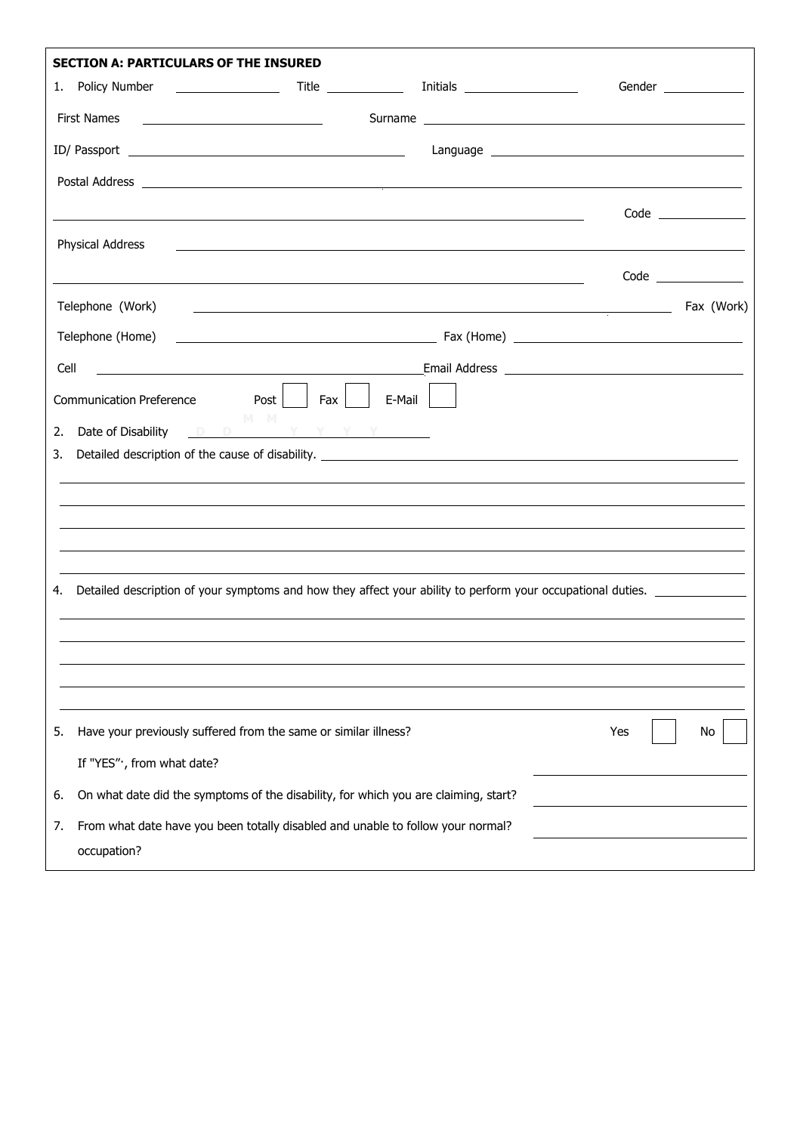|      | <b>SECTION A: PARTICULARS OF THE INSURED</b>                                                                                                                                                                                                             |     |                       |
|------|----------------------------------------------------------------------------------------------------------------------------------------------------------------------------------------------------------------------------------------------------------|-----|-----------------------|
|      |                                                                                                                                                                                                                                                          |     | Gender ______________ |
|      | <b>First Names</b>                                                                                                                                                                                                                                       |     |                       |
|      |                                                                                                                                                                                                                                                          |     |                       |
|      |                                                                                                                                                                                                                                                          |     |                       |
|      |                                                                                                                                                                                                                                                          |     | $Code \_$             |
|      | Physical Address                                                                                                                                                                                                                                         |     |                       |
|      |                                                                                                                                                                                                                                                          |     |                       |
|      | Telephone (Work)<br><u> 1999 - Johann Harry Harry Harry Harry Harry Harry Harry Harry Harry Harry Harry Harry Harry Harry Harry Harry Harry Harry Harry Harry Harry Harry Harry Harry Harry Harry Harry Harry Harry Harry Harry Harry Harry Harry Ha</u> |     | Fax (Work)            |
|      | Telephone (Home)                                                                                                                                                                                                                                         |     |                       |
|      |                                                                                                                                                                                                                                                          |     |                       |
| Cell |                                                                                                                                                                                                                                                          |     |                       |
| 2.   | r J<br>Communication Preference Post<br>  Fax<br>E-Mail<br>M M<br>Date of Disability DD N Y Y Y Y Y                                                                                                                                                      |     |                       |
| 3.   |                                                                                                                                                                                                                                                          |     |                       |
|      |                                                                                                                                                                                                                                                          |     |                       |
|      |                                                                                                                                                                                                                                                          |     |                       |
|      |                                                                                                                                                                                                                                                          |     |                       |
|      |                                                                                                                                                                                                                                                          |     |                       |
| 4.   |                                                                                                                                                                                                                                                          |     |                       |
|      |                                                                                                                                                                                                                                                          |     |                       |
|      |                                                                                                                                                                                                                                                          |     |                       |
|      |                                                                                                                                                                                                                                                          |     |                       |
|      |                                                                                                                                                                                                                                                          | Yes |                       |
| 5.   | Have your previously suffered from the same or similar illness?                                                                                                                                                                                          |     | No                    |
|      | If "YES", from what date?                                                                                                                                                                                                                                |     |                       |
| 6.   | On what date did the symptoms of the disability, for which you are claiming, start?                                                                                                                                                                      |     |                       |
| 7.   | From what date have you been totally disabled and unable to follow your normal?<br>occupation?                                                                                                                                                           |     |                       |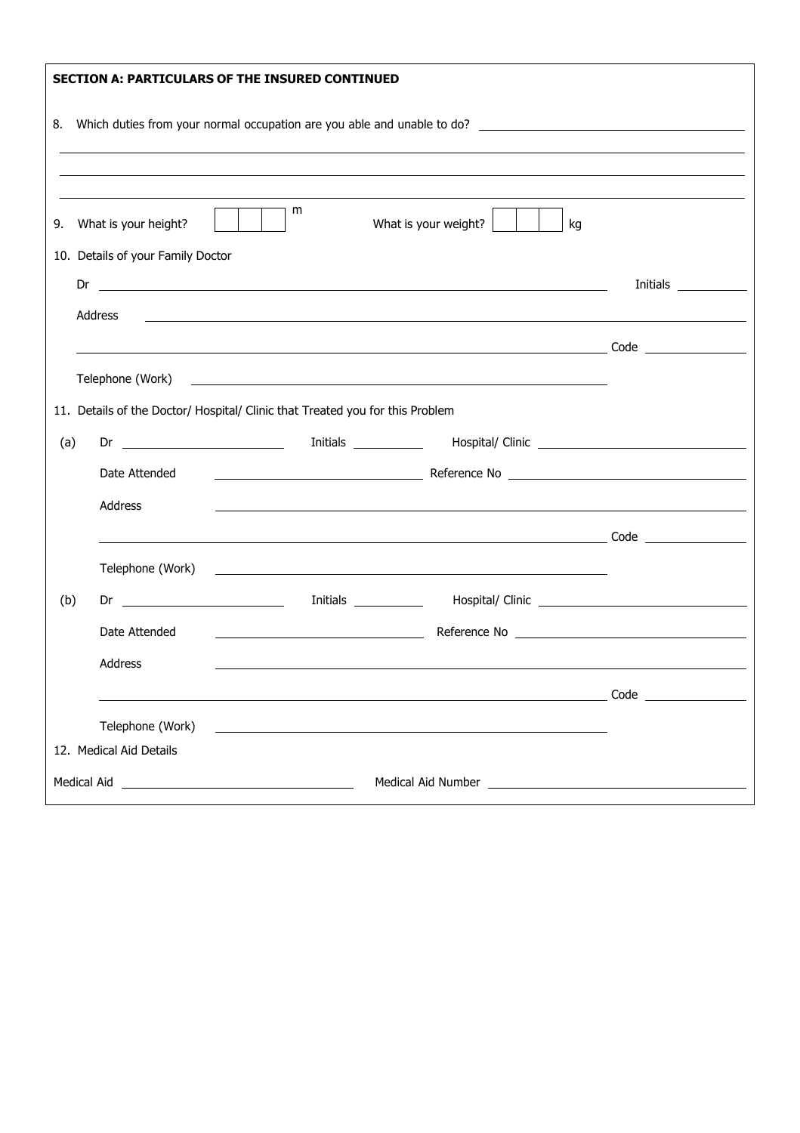|             |                                             | <b>SECTION A: PARTICULARS OF THE INSURED CONTINUED</b>                                                                                                                                                                               |                         |  |
|-------------|---------------------------------------------|--------------------------------------------------------------------------------------------------------------------------------------------------------------------------------------------------------------------------------------|-------------------------|--|
|             |                                             |                                                                                                                                                                                                                                      |                         |  |
|             |                                             | m                                                                                                                                                                                                                                    |                         |  |
|             | 9. What is your height?                     | What is your weight? $\vert$<br>kg                                                                                                                                                                                                   |                         |  |
|             | 10. Details of your Family Doctor           |                                                                                                                                                                                                                                      |                         |  |
|             |                                             |                                                                                                                                                                                                                                      | Initials ______________ |  |
|             | Address                                     |                                                                                                                                                                                                                                      |                         |  |
|             |                                             |                                                                                                                                                                                                                                      |                         |  |
|             | Telephone (Work)                            |                                                                                                                                                                                                                                      |                         |  |
|             |                                             | 11. Details of the Doctor/ Hospital/ Clinic that Treated you for this Problem                                                                                                                                                        |                         |  |
|             |                                             |                                                                                                                                                                                                                                      |                         |  |
| (a)         |                                             |                                                                                                                                                                                                                                      |                         |  |
|             | Date Attended                               |                                                                                                                                                                                                                                      |                         |  |
|             | Address                                     | <u>a sa barang sa mga barang sa mga barang sa mga barang sa mga barang sa mga barang sa mga barang sa mga barang sa </u>                                                                                                             |                         |  |
|             |                                             |                                                                                                                                                                                                                                      |                         |  |
|             | Telephone (Work)                            | <u>state and the state of the state of the state of the state of the state of the state of the state of the state of the state of the state of the state of the state of the state of the state of the state of the state of the</u> |                         |  |
| (b)         | Dr $\qquad$                                 |                                                                                                                                                                                                                                      |                         |  |
|             | Date Attended                               |                                                                                                                                                                                                                                      |                         |  |
|             | Address                                     |                                                                                                                                                                                                                                      |                         |  |
|             |                                             |                                                                                                                                                                                                                                      |                         |  |
|             |                                             |                                                                                                                                                                                                                                      |                         |  |
|             | Telephone (Work)<br>12. Medical Aid Details |                                                                                                                                                                                                                                      |                         |  |
|             |                                             |                                                                                                                                                                                                                                      |                         |  |
| Medical Aid |                                             |                                                                                                                                                                                                                                      |                         |  |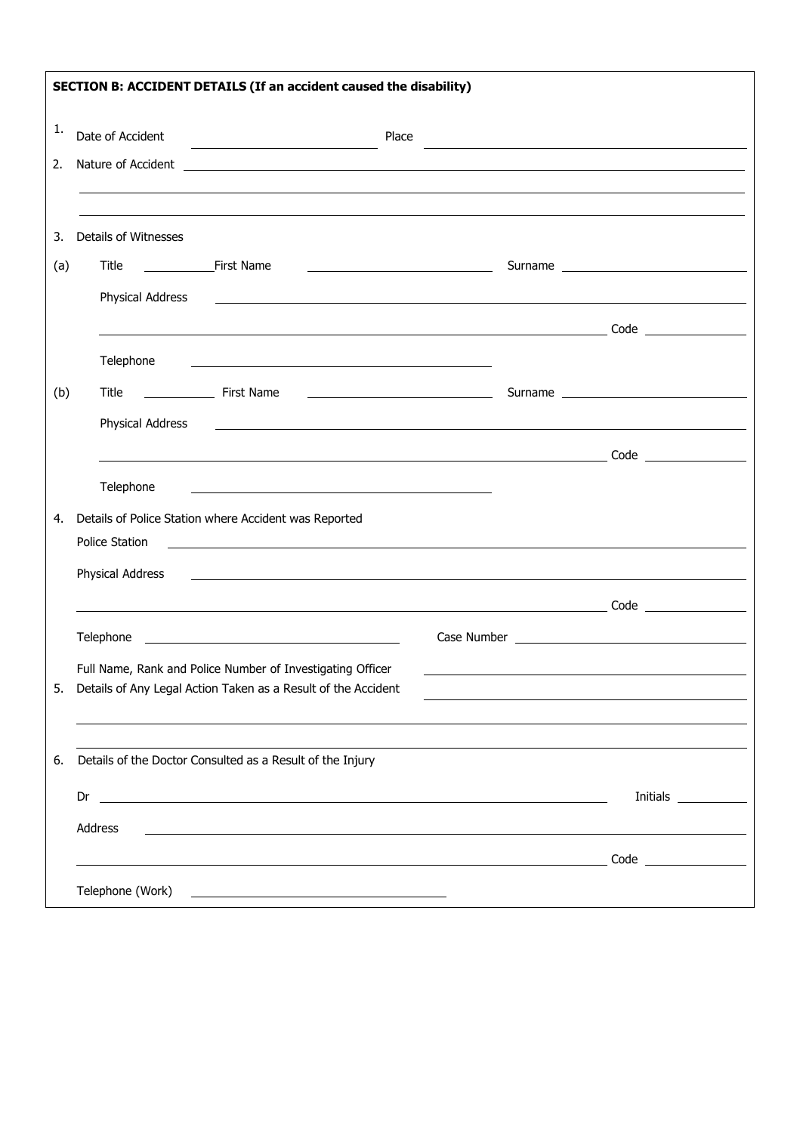| SECTION B: ACCIDENT DETAILS (If an accident caused the disability) |                                                                                                                                                                                                  |                                                                                                                                                                                                                                      |                        |
|--------------------------------------------------------------------|--------------------------------------------------------------------------------------------------------------------------------------------------------------------------------------------------|--------------------------------------------------------------------------------------------------------------------------------------------------------------------------------------------------------------------------------------|------------------------|
| 1.                                                                 | Date of Accident<br><u> 1980 - Andrea Station, amerikan bisan</u>                                                                                                                                |                                                                                                                                                                                                                                      |                        |
| 2.                                                                 | Nature of Accident <b>Accident Accident Accident Accident Accident Accident Accident Accident Accident Accident Accident Accident Accident Accident Accident Accident Accident Accident Acci</b> |                                                                                                                                                                                                                                      |                        |
|                                                                    |                                                                                                                                                                                                  |                                                                                                                                                                                                                                      |                        |
| 3.                                                                 | <b>Details of Witnesses</b>                                                                                                                                                                      |                                                                                                                                                                                                                                      |                        |
| (a)                                                                | <u> 1989 - Andrea Brand, Amerikaansk politiker (</u>                                                                                                                                             |                                                                                                                                                                                                                                      |                        |
|                                                                    | Physical Address<br><u> 1980 - John Stein, markin sanat masjid ayyı bir alan bir alan bir alan bir alan bir alan bir alan bir alan b</u>                                                         |                                                                                                                                                                                                                                      |                        |
|                                                                    |                                                                                                                                                                                                  |                                                                                                                                                                                                                                      |                        |
|                                                                    | Telephone                                                                                                                                                                                        |                                                                                                                                                                                                                                      |                        |
| (b)                                                                |                                                                                                                                                                                                  |                                                                                                                                                                                                                                      |                        |
|                                                                    | <b>Physical Address</b>                                                                                                                                                                          | <u>some started and the started and the started and the started and the started and the started and the started and the started and the started and the started and the started and the started and the started and the started </u> |                        |
|                                                                    | Telephone<br><u> 1989 - Johann Barbara, martin amerikan basar dan berasal dan berasal dalam basar dalam basar dalam basar dala</u>                                                               |                                                                                                                                                                                                                                      |                        |
| 4.                                                                 | Details of Police Station where Accident was Reported                                                                                                                                            |                                                                                                                                                                                                                                      |                        |
|                                                                    | Police Station                                                                                                                                                                                   |                                                                                                                                                                                                                                      |                        |
|                                                                    | Physical Address                                                                                                                                                                                 |                                                                                                                                                                                                                                      |                        |
|                                                                    |                                                                                                                                                                                                  |                                                                                                                                                                                                                                      |                        |
|                                                                    |                                                                                                                                                                                                  |                                                                                                                                                                                                                                      |                        |
| 5.                                                                 | Full Name, Rank and Police Number of Investigating Officer<br>Details of Any Legal Action Taken as a Result of the Accident                                                                      |                                                                                                                                                                                                                                      |                        |
|                                                                    |                                                                                                                                                                                                  |                                                                                                                                                                                                                                      |                        |
| 6.                                                                 | Details of the Doctor Consulted as a Result of the Injury                                                                                                                                        |                                                                                                                                                                                                                                      |                        |
|                                                                    | $Dr \nightharpoonup$                                                                                                                                                                             |                                                                                                                                                                                                                                      | Initials _____________ |
|                                                                    | Address                                                                                                                                                                                          |                                                                                                                                                                                                                                      |                        |
|                                                                    |                                                                                                                                                                                                  |                                                                                                                                                                                                                                      |                        |
|                                                                    |                                                                                                                                                                                                  |                                                                                                                                                                                                                                      |                        |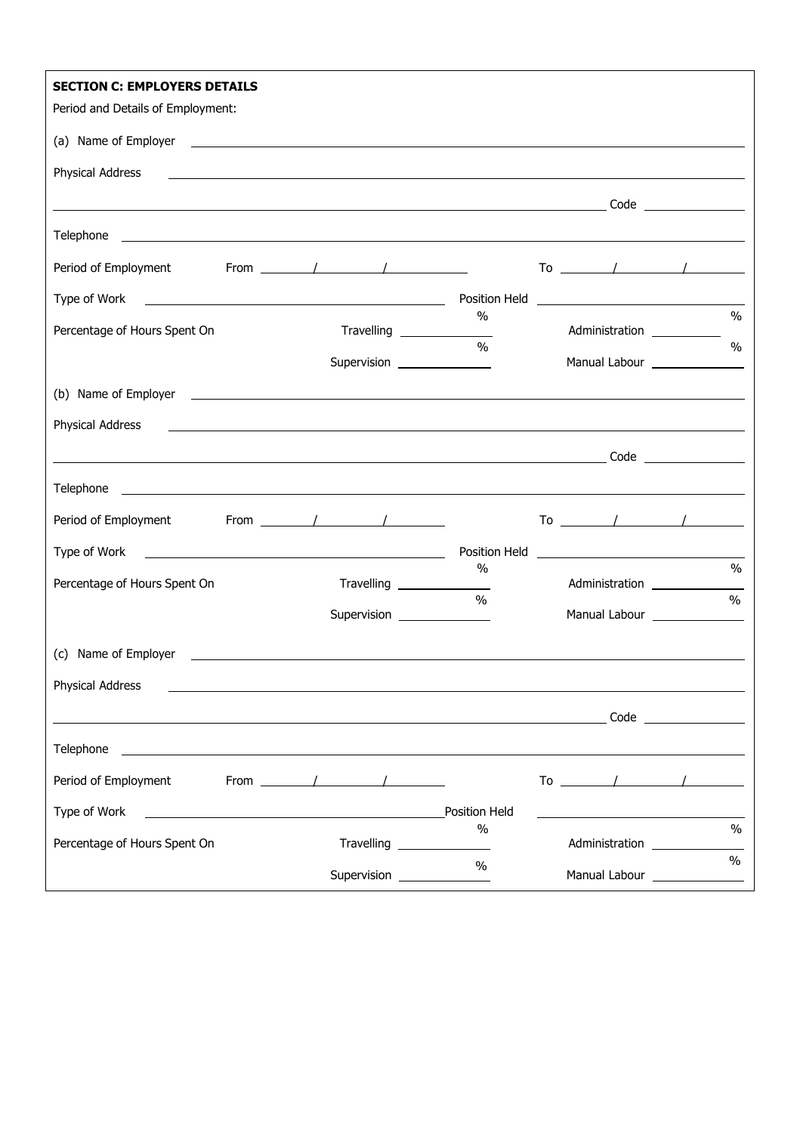| <b>SECTION C: EMPLOYERS DETAILS</b>                                                                                                                                                                                                                  |                                              |                                                                             |               |
|------------------------------------------------------------------------------------------------------------------------------------------------------------------------------------------------------------------------------------------------------|----------------------------------------------|-----------------------------------------------------------------------------|---------------|
| Period and Details of Employment:                                                                                                                                                                                                                    |                                              |                                                                             |               |
|                                                                                                                                                                                                                                                      |                                              |                                                                             |               |
| Physical Address<br><u> 1989 - Andrea Santa Andrea Santa Andrea Santa Andrea Santa Andrea Santa Andrea Santa Andrea Santa Andrea San</u>                                                                                                             |                                              |                                                                             |               |
|                                                                                                                                                                                                                                                      |                                              |                                                                             |               |
|                                                                                                                                                                                                                                                      |                                              |                                                                             |               |
| From $\sqrt{2\pi r}$<br>Period of Employment                                                                                                                                                                                                         |                                              | To $\sqrt{1-\frac{1}{2}}$                                                   |               |
| Position Held<br>Type of Work                                                                                                                                                                                                                        |                                              |                                                                             |               |
| Percentage of Hours Spent On                                                                                                                                                                                                                         | $\%$<br>Travelling _______________           | Administration ____________                                                 | $\frac{0}{0}$ |
|                                                                                                                                                                                                                                                      | 0/2<br>Supervision ________________          | Manual Labour _______________                                               | $\frac{0}{0}$ |
|                                                                                                                                                                                                                                                      |                                              |                                                                             |               |
| (b) Name of Employer <u>example and the set of the set of the set of the set of the set of the set of the set of the set of the set of the set of the set of the set of the set of the set of the set of the set of the set of t</u>                 |                                              |                                                                             |               |
| Physical Address<br><u> 1989 - Johann Harry Harry Harry Harry Harry Harry Harry Harry Harry Harry Harry Harry Harry Harry Harry Harry</u>                                                                                                            |                                              |                                                                             |               |
|                                                                                                                                                                                                                                                      |                                              |                                                                             |               |
|                                                                                                                                                                                                                                                      |                                              |                                                                             |               |
| From $\sqrt{1-\frac{1}{2}}$<br>Period of Employment                                                                                                                                                                                                  |                                              | To $\sqrt{1-\frac{1}{2}}$                                                   |               |
| Type of Work<br><u> 2008 - Andrea Albert III, poet e presentant a la provincia de la provincia de la provincia de la provincia d</u>                                                                                                                 | Position Held                                | <u> 2000 - Andrea Andrew Maria (h. 1878).</u>                               |               |
| Percentage of Hours Spent On                                                                                                                                                                                                                         | $\%$<br>Travelling ________________          | Administration _________________                                            | $\%$          |
|                                                                                                                                                                                                                                                      | $\frac{0}{0}$<br>Supervision _______________ | Manual Labour _______________                                               | $\frac{0}{0}$ |
|                                                                                                                                                                                                                                                      |                                              |                                                                             |               |
| (c) Name of Employer                                                                                                                                                                                                                                 |                                              |                                                                             |               |
| Physical Address                                                                                                                                                                                                                                     |                                              |                                                                             |               |
|                                                                                                                                                                                                                                                      |                                              |                                                                             |               |
|                                                                                                                                                                                                                                                      |                                              |                                                                             |               |
| Period of Employment<br>From $\sqrt{2}$ / $\sqrt{2}$                                                                                                                                                                                                 |                                              | $\begin{array}{ccccccccccccc}\n\text{To} & & & / & & & / & & \n\end{array}$ |               |
| Type of Work<br><u>and the contract of the contract of the contract of the contract of the contract of the contract of the contract of the contract of the contract of the contract of the contract of the contract of the contract of the contr</u> | <b>Position Held</b>                         |                                                                             |               |
| Percentage of Hours Spent On                                                                                                                                                                                                                         | $\%$                                         | Administration                                                              | $\frac{0}{0}$ |
|                                                                                                                                                                                                                                                      | $\frac{0}{0}$<br>Supervision                 | Manual Labour _______________                                               | $\%$          |